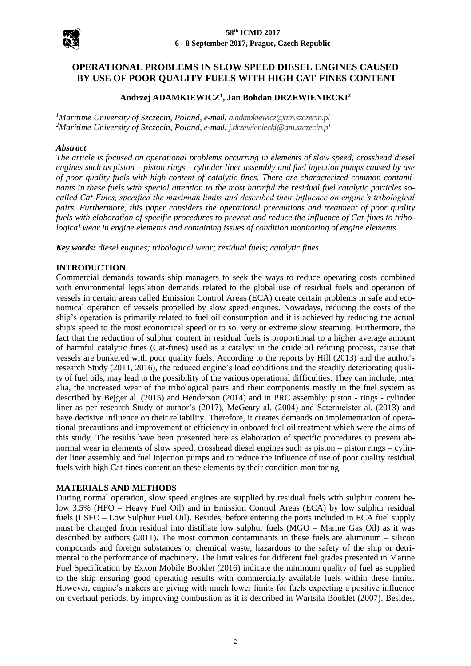

# **OPERATIONAL PROBLEMS IN SLOW SPEED DIESEL ENGINES CAUSED BY USE OF POOR QUALITY FUELS WITH HIGH CAT-FINES CONTENT**

## **Andrzej ADAMKIEWICZ<sup>1</sup> , Jan Bohdan DRZEWIENIECKI<sup>2</sup>**

*<sup>1</sup>Maritime University of Szczecin, Poland, e-mail[: a.adamkiewicz@am.szczecin.pl](mailto:a.adamkiewicz@am.szczecin.pl) <sup>2</sup>Maritime University of Szczecin, Poland, e-mail[: j.drzewieniecki@am.szczecin.pl](mailto:j.drzewieniecki@am.szczecin.pl)*

#### *Abstract*

*The article is focused on operational problems occurring in elements of slow speed, crosshead diesel engines such as piston – piston rings – cylinder liner assembly and fuel injection pumps caused by use of poor quality fuels with high content of catalytic fines. There are characterized common contaminants in these fuels with special attention to the most harmful the residual fuel catalytic particles socalled Cat-Fines, specified the maximum limits and described their influence on engine's tribological pairs. Furthermore, this paper considers the operational precautions and treatment of poor quality fuels with elaboration of specific procedures to prevent and reduce the influence of Cat-fines to tribological wear in engine elements and containing issues of condition monitoring of engine elements.*

*Key words: diesel engines; tribological wear; residual fuels; catalytic fines.*

### **INTRODUCTION**

Commercial demands towards ship managers to seek the ways to reduce operating costs combined with environmental legislation demands related to the global use of residual fuels and operation of vessels in certain areas called Emission Control Areas (ECA) create certain problems in safe and economical operation of vessels propelled by slow speed engines. Nowadays, reducing the costs of the ship's operation is primarily related to fuel oil consumption and it is achieved by reducing the actual ship's speed to the most economical speed or to so. very or extreme slow steaming. Furthermore, the fact that the reduction of sulphur content in residual fuels is proportional to a higher average amount of harmful catalytic fines (Cat-fines) used as a catalyst in the crude oil refining process, cause that vessels are bunkered with poor quality fuels. According to the reports by Hill (2013) and the author's research Study (2011, 2016), the reduced engine's load conditions and the steadily deteriorating quality of fuel oils, may lead to the possibility of the various operational difficulties. They can include, inter alia, the increased wear of the tribological pairs and their components mostly in the fuel system as described by Bejger al. (2015) and Henderson (2014) and in PRC assembly: piston - rings - cylinder liner as per research Study of author's (2017), McGeary al. (2004) and Satermeister al. (2013) and have decisive influence on their reliability. Therefore, it creates demands on implementation of operational precautions and improvement of efficiency in onboard fuel oil treatment which were the aims of this study. The results have been presented here as elaboration of specific procedures to prevent abnormal wear in elements of slow speed, crosshead diesel engines such as piston – piston rings – cylinder liner assembly and fuel injection pumps and to reduce the influence of use of poor quality residual fuels with high Cat-fines content on these elements by their condition monitoring.

### **MATERIALS AND METHODS**

During normal operation, slow speed engines are supplied by residual fuels with sulphur content below 3.5% (HFO – Heavy Fuel Oil) and in Emission Control Areas (ECA) by low sulphur residual fuels (LSFO – Low Sulphur Fuel Oil). Besides, before entering the ports included in ECA fuel supply must be changed from residual into distillate low sulphur fuels (MGO – Marine Gas Oil) as it was described by authors (2011). The most common contaminants in these fuels are aluminum – silicon compounds and foreign substances or chemical waste, hazardous to the safety of the ship or detrimental to the performance of machinery. The limit values for different fuel grades presented in Marine Fuel Specification by Exxon Mobile Booklet (2016) indicate the minimum quality of fuel as supplied to the ship ensuring good operating results with commercially available fuels within these limits. However, engine's makers are giving with much lower limits for fuels expecting a positive influence on overhaul periods, by improving combustion as it is described in Wartsila Booklet (2007). Besides,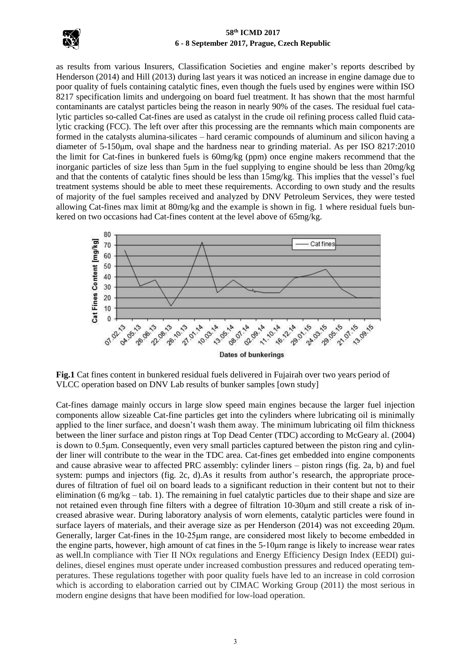

as results from various Insurers, Classification Societies and engine maker's reports described by Henderson (2014) and Hill (2013) during last years it was noticed an increase in engine damage due to poor quality of fuels containing catalytic fines, even though the fuels used by engines were within ISO 8217 specification limits and undergoing on board fuel treatment. It has shown that the most harmful contaminants are catalyst particles being the reason in nearly 90% of the cases. The residual fuel catalytic particles so-called Cat-fines are used as catalyst in the crude oil refining process called fluid catalytic cracking (FCC). The left over after this processing are the remnants which main components are formed in the catalysts alumina-silicates – hard ceramic compounds of aluminum and silicon having a diameter of 5-150μm, oval shape and the hardness near to grinding material. As per ISO 8217:2010 the limit for Cat-fines in bunkered fuels is 60mg/kg (ppm) once engine makers recommend that the inorganic particles of size less than 5μm in the fuel supplying to engine should be less than 20mg/kg and that the contents of catalytic fines should be less than 15mg/kg. This implies that the vessel's fuel treatment systems should be able to meet these requirements. According to own study and the results of majority of the fuel samples received and analyzed by DNV Petroleum Services, they were tested allowing Cat-fines max limit at 80mg/kg and the example is shown in fig. 1 where residual fuels bunkered on two occasions had Cat-fines content at the level above of 65mg/kg.



**Fig.1** Cat fines content in bunkered residual fuels delivered in Fujairah over two years period of VLCC operation based on DNV Lab results of bunker samples [own study]

Cat-fines damage mainly occurs in large slow speed main engines because the larger fuel injection components allow sizeable Cat-fine particles get into the cylinders where lubricating oil is minimally applied to the liner surface, and doesn't wash them away. The minimum lubricating oil film thickness between the liner surface and piston rings at Top Dead Center (TDC) according to McGeary al. (2004) is down to 0.5μm. Consequently, even very small particles captured between the piston ring and cylinder liner will contribute to the wear in the TDC area. Cat-fines get embedded into engine components and cause abrasive wear to affected PRC assembly: cylinder liners – piston rings (fig. 2a, b) and fuel system: pumps and injectors (fig. 2c, d). As it results from author's research, the appropriate procedures of filtration of fuel oil on board leads to a significant reduction in their content but not to their elimination (6 mg/kg – tab. 1). The remaining in fuel catalytic particles due to their shape and size are not retained even through fine filters with a degree of filtration 10-30μm and still create a risk of increased abrasive wear. During laboratory analysis of worn elements, catalytic particles were found in surface layers of materials, and their average size as per Henderson (2014) was not exceeding 20μm. Generally, larger Cat-fines in the 10-25μm range, are considered most likely to become embedded in the engine parts, however, high amount of cat fines in the 5-10μm range is likely to increase wear rates as well.In compliance with Tier II NOx regulations and Energy Efficiency Design Index (EEDI) guidelines, diesel engines must operate under increased combustion pressures and reduced operating temperatures. These regulations together with poor quality fuels have led to an increase in cold corrosion which is according to elaboration carried out by CIMAC Working Group (2011) the most serious in modern engine designs that have been modified for low-load operation.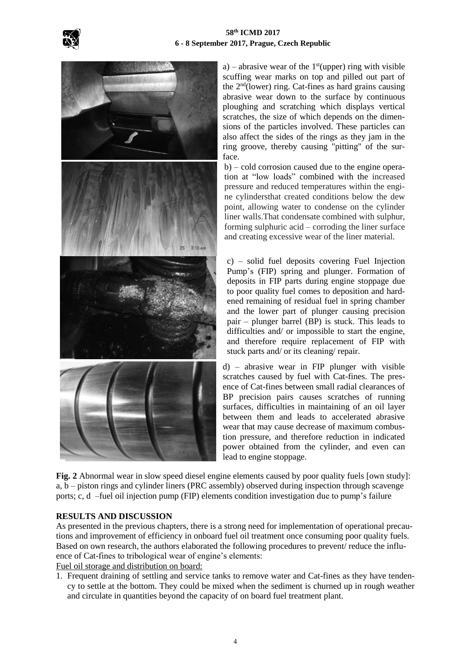



a) – abrasive wear of the  $1<sup>st</sup>(upper)$  ring with visible scuffing wear marks on top and pilled out part of the 2 nd(lower) ring. Cat-fines as hard grains causing abrasive wear down to the surface by continuous ploughing and scratching which displays vertical scratches, the size of which depends on the dimensions of the particles involved. These particles can also affect the sides of the rings as they jam in the ring groove, thereby causing "pitting" of the surface.

b) – cold corrosion caused due to the engine operation at "low loads" combined with the increased pressure and reduced temperatures within the engine cylindersthat created conditions below the dew point, allowing water to condense on the cylinder liner walls.That condensate combined with sulphur, forming sulphuric acid – corroding the liner surface and creating excessive wear of the liner material.

c) – solid fuel deposits covering Fuel Injection Pump's (FIP) spring and plunger. Formation of deposits in FIP parts during engine stoppage due to poor quality fuel comes to deposition and hardened remaining of residual fuel in spring chamber and the lower part of plunger causing precision pair – plunger barrel (BP) is stuck. This leads to difficulties and/ or impossible to start the engine, and therefore require replacement of FIP with stuck parts and/ or its cleaning/ repair.

d) – abrasive wear in FIP plunger with visible scratches caused by fuel with Cat-fines. The presence of Cat-fines between small radial clearances of BP precision pairs causes scratches of running surfaces, difficulties in maintaining of an oil layer between them and leads to accelerated abrasive wear that may cause decrease of maximum combustion pressure, and therefore reduction in indicated power obtained from the cylinder, and even can lead to engine stoppage.

**Fig. 2** Abnormal wear in slow speed diesel engine elements caused by poor quality fuels [own study]: a, b – piston rings and cylinder liners (PRC assembly) observed during inspection through scavenge ports; c, d –fuel oil injection pump (FIP) elements condition investigation due to pump's failure

### **RESULTS AND DISCUSSION**

As presented in the previous chapters, there is a strong need for implementation of operational precautions and improvement of efficiency in onboard fuel oil treatment once consuming poor quality fuels. Based on own research, the authors elaborated the following procedures to prevent/ reduce the influence of Cat-fines to tribological wear of engine's elements:

Fuel oil storage and distribution on board:

1. Frequent draining of settling and service tanks to remove water and Cat-fines as they have tendency to settle at the bottom. They could be mixed when the sediment is churned up in rough weather and circulate in quantities beyond the capacity of on board fuel treatment plant.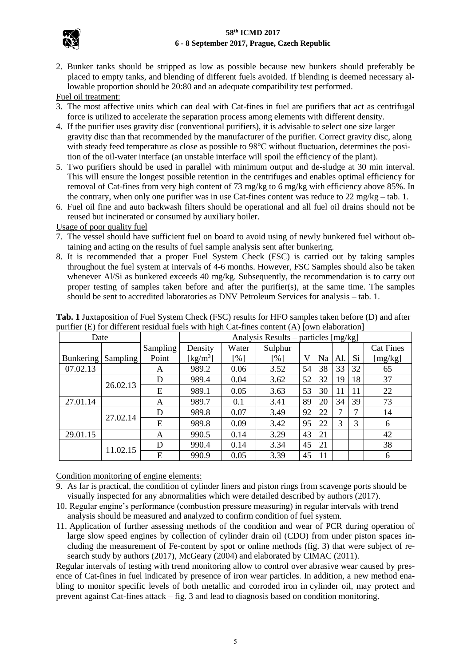

2. Bunker tanks should be stripped as low as possible because new bunkers should preferably be placed to empty tanks, and blending of different fuels avoided. If blending is deemed necessary allowable proportion should be 20:80 and an adequate compatibility test performed.

Fuel oil treatment:

- 3. The most affective units which can deal with Cat-fines in fuel are purifiers that act as centrifugal force is utilized to accelerate the separation process among elements with different density.
- 4. If the purifier uses gravity disc (conventional purifiers), it is advisable to select one size larger gravity disc than that recommended by the manufacturer of the purifier. Correct gravity disc, along with steady feed temperature as close as possible to 98°C without fluctuation, determines the position of the oil-water interface (an unstable interface will spoil the efficiency of the plant).
- 5. Two purifiers should be used in parallel with minimum output and de-sludge at 30 min interval. This will ensure the longest possible retention in the centrifuges and enables optimal efficiency for removal of Cat-fines from very high content of 73 mg/kg to 6 mg/kg with efficiency above 85%. In the contrary, when only one purifier was in use Cat-fines content was reduce to 22 mg/kg – tab. 1.
- 6. Fuel oil fine and auto backwash filters should be operational and all fuel oil drains should not be reused but incinerated or consumed by auxiliary boiler.

Usage of poor quality fuel

- 7. The vessel should have sufficient fuel on board to avoid using of newly bunkered fuel without obtaining and acting on the results of fuel sample analysis sent after bunkering.
- 8. It is recommended that a proper Fuel System Check (FSC) is carried out by taking samples throughout the fuel system at intervals of 4-6 months. However, FSC Samples should also be taken whenever Al/Si as bunkered exceeds 40 mg/kg. Subsequently, the recommendation is to carry out proper testing of samples taken before and after the purifier(s), at the same time. The samples should be sent to accredited laboratories as DNV Petroleum Services for analysis – tab. 1.

| Date             |          |          | Analysis Results – particles [mg/kg] |       |                    |    |    |     |    |                  |
|------------------|----------|----------|--------------------------------------|-------|--------------------|----|----|-----|----|------------------|
|                  |          | Sampling | Density                              | Water | Sulphur            |    |    |     |    | <b>Cat Fines</b> |
| <b>Bunkering</b> | Sampling | Point    | [ $\text{kg/m}^3$ ]                  | [%]   | $\lceil \% \rceil$ | V  | Na | Al. | Si | [mg/kg]          |
| 07.02.13         |          | A        | 989.2                                | 0.06  | 3.52               | 54 | 38 | 33  | 32 | 65               |
|                  | 26.02.13 | D        | 989.4                                | 0.04  | 3.62               | 52 | 32 | 19  | 18 | 37               |
|                  |          | E        | 989.1                                | 0.05  | 3.63               | 53 | 30 | 11  | 11 | 22               |
| 27.01.14         |          | A        | 989.7                                | 0.1   | 3.41               | 89 | 20 | 34  | 39 | 73               |
|                  | 27.02.14 | D        | 989.8                                | 0.07  | 3.49               | 92 | 22 | 7   | ⇁  | 14               |
|                  |          | E        | 989.8                                | 0.09  | 3.42               | 95 | 22 | 3   | 3  | 6                |
| 29.01.15         |          | A        | 990.5                                | 0.14  | 3.29               | 43 | 21 |     |    | 42               |
|                  | 11.02.15 | D        | 990.4                                | 0.14  | 3.34               | 45 | 21 |     |    | 38               |
|                  |          | E        | 990.9                                | 0.05  | 3.39               | 45 | 11 |     |    | 6                |

**Tab. 1** Juxtaposition of Fuel System Check (FSC) results for HFO samples taken before (D) and after purifier (E) for different residual fuels with high Cat-fines content (A) [own elaboration]

Condition monitoring of engine elements:

- 9. As far is practical, the condition of cylinder liners and piston rings from scavenge ports should be visually inspected for any abnormalities which were detailed described by authors (2017).
- 10. Regular engine's performance (combustion pressure measuring) in regular intervals with trend analysis should be measured and analyzed to confirm condition of fuel system.
- 11. Application of further assessing methods of the condition and wear of PCR during operation of large slow speed engines by collection of cylinder drain oil (CDO) from under piston spaces including the measurement of Fe-content by spot or online methods (fig. 3) that were subject of research study by authors (2017), McGeary (2004) and elaborated by CIMAC (2011).

Regular intervals of testing with trend monitoring allow to control over abrasive wear caused by presence of Cat-fines in fuel indicated by presence of iron wear particles. In addition, a new method enabling to monitor specific levels of both metallic and corroded iron in cylinder oil, may protect and prevent against Cat-fines attack – fig. 3 and lead to diagnosis based on condition monitoring.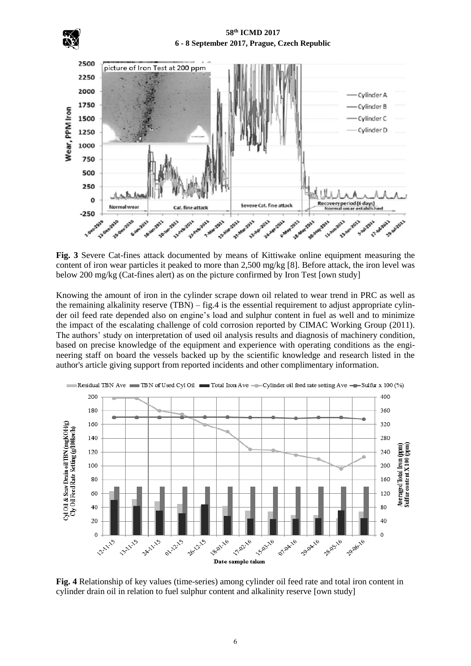



**Fig. 3** Severe Cat-fines attack documented by means of Kittiwake online equipment measuring the content of iron wear particles it peaked to more than 2,500 mg/kg [8]. Before attack, the iron level was below 200 mg/kg (Cat-fines alert) as on the picture confirmed by Iron Test [own study]

Knowing the amount of iron in the cylinder scrape down oil related to wear trend in PRC as well as the remaining alkalinity reserve  $(TBN) - fig.4$  is the essential requirement to adjust appropriate cylinder oil feed rate depended also on engine's load and sulphur content in fuel as well and to minimize the impact of the escalating challenge of cold corrosion reported by CIMAC Working Group (2011). The authors' study on interpretation of used oil analysis results and diagnosis of machinery condition, based on precise knowledge of the equipment and experience with operating conditions as the engineering staff on board the vessels backed up by the scientific knowledge and research listed in the author's article giving support from reported incidents and other complimentary information.



**Fig. 4** Relationship of key values (time-series) among cylinder oil feed rate and total iron content in cylinder drain oil in relation to fuel sulphur content and alkalinity reserve [own study]